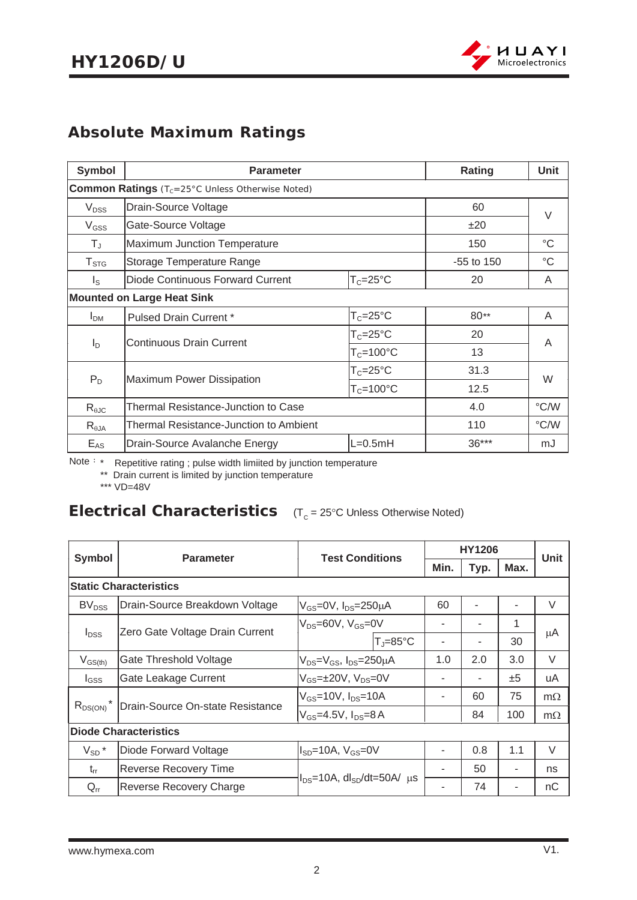

## **Absolute Maximum Ratings**

| <b>Symbol</b>    | <b>Parameter</b>                                       | Rating               | Unit         |                 |
|------------------|--------------------------------------------------------|----------------------|--------------|-----------------|
|                  | <b>Common Ratings</b> (Tc=25°C Unless Otherwise Noted) |                      |              |                 |
| $V_{DSS}$        | Drain-Source Voltage                                   |                      | 60           | V               |
| $V_{GSS}$        | Gate-Source Voltage                                    |                      | ±20          |                 |
| $T_{\text{J}}$   | <b>Maximum Junction Temperature</b>                    |                      | 150          | $^{\circ}C$     |
| $T_{\text{STG}}$ | Storage Temperature Range                              |                      | $-55$ to 150 | $\rm ^{\circ}C$ |
| $I_{\rm S}$      | Diode Continuous Forward Current                       | $T_c = 25^{\circ}C$  | 20           | A               |
|                  | <b>Mounted on Large Heat Sink</b>                      |                      |              |                 |
| I <sub>DM</sub>  | <b>Pulsed Drain Current *</b>                          | $T_c = 25$ °C        | $80**$       | A               |
|                  |                                                        | $T_c = 25^{\circ}C$  | 20           |                 |
| $I_D$            | <b>Continuous Drain Current</b>                        | $T_c = 100^{\circ}C$ | 13           | A               |
|                  |                                                        | $T_c = 25^{\circ}C$  | 31.3         | W               |
|                  | $P_D$<br>Maximum Power Dissipation<br>$T_c = 100$ °C   |                      | 12.5         |                 |
| $R_{\theta$ JC   | Thermal Resistance-Junction to Case                    | 4.0                  | °C/W         |                 |
| $R_{\theta$ JA   | Thermal Resistance-Junction to Ambient                 |                      | 110          | °C/W            |
| $E_{AS}$         | $L=0.5mH$<br>Drain-Source Avalanche Energy             |                      | $36***$      | mJ              |

Note: \* Repetitive rating ; pulse width limiited by junction temperature

\*\* Drain current is limited by junction temperature

\*\*\* VD=48V

# **Electrical Characteristics** (T<sub>c</sub> = 25°C Unless Otherwise Noted)

| <b>Symbol</b>                                                 | <b>Parameter</b>                | <b>Test Conditions</b>                           |                       |      | <b>HY1206</b> |      | <b>Unit</b> |
|---------------------------------------------------------------|---------------------------------|--------------------------------------------------|-----------------------|------|---------------|------|-------------|
|                                                               |                                 |                                                  |                       | Min. | Typ.          | Max. |             |
|                                                               | <b>Static Characteristics</b>   |                                                  |                       |      |               |      |             |
| BV <sub>DSS</sub>                                             | Drain-Source Breakdown Voltage  | $V_{GS}$ =0V, $I_{DS}$ =250 $\mu$ A              |                       | 60   |               |      | $\vee$      |
|                                                               | Zero Gate Voltage Drain Current | $V_{DS}=60V$ , $V_{GS}=0V$                       |                       |      | ۰             | 1    |             |
| $I_{DSS}$                                                     |                                 |                                                  | $T_{J} = 85^{\circ}C$ |      | ۰             | 30   | μA          |
| $V_{GS(th)}$                                                  | Gate Threshold Voltage          | $V_{DS} = V_{GS}$ , $I_{DS} = 250 \mu A$         |                       | 1.0  | 2.0           | 3.0  | $\vee$      |
| $I_{GSS}$                                                     | Gate Leakage Current            | $V_{GS}$ = $\pm$ 20V, V <sub>DS</sub> =0V        |                       |      |               | ±5   | uA          |
| $R_{DS(ON)}$ <sup>*</sup><br>Drain-Source On-state Resistance |                                 | $V_{GS}$ =10V, $I_{DS}$ =10A                     |                       |      | 60            | 75   | $m\Omega$   |
|                                                               |                                 | $V_{GS}$ =4.5V, $I_{DS}$ =8A                     |                       |      | 84            | 100  | $m\Omega$   |
| <b>Diode Characteristics</b>                                  |                                 |                                                  |                       |      |               |      |             |
| $V_{SD}$ *                                                    | Diode Forward Voltage           | $I_{SD}$ =10A, $V_{GS}$ =0V                      |                       |      | 0.8           | 1.1  | $\vee$      |
| $t_{rr}$                                                      | <b>Reverse Recovery Time</b>    | $I_{DS}$ =10A, dl <sub>SD</sub> /dt=50A/ $\mu$ s |                       |      | 50            |      | ns          |
| $Q_{rr}$                                                      | Reverse Recovery Charge         |                                                  |                       |      | 74            |      | nC          |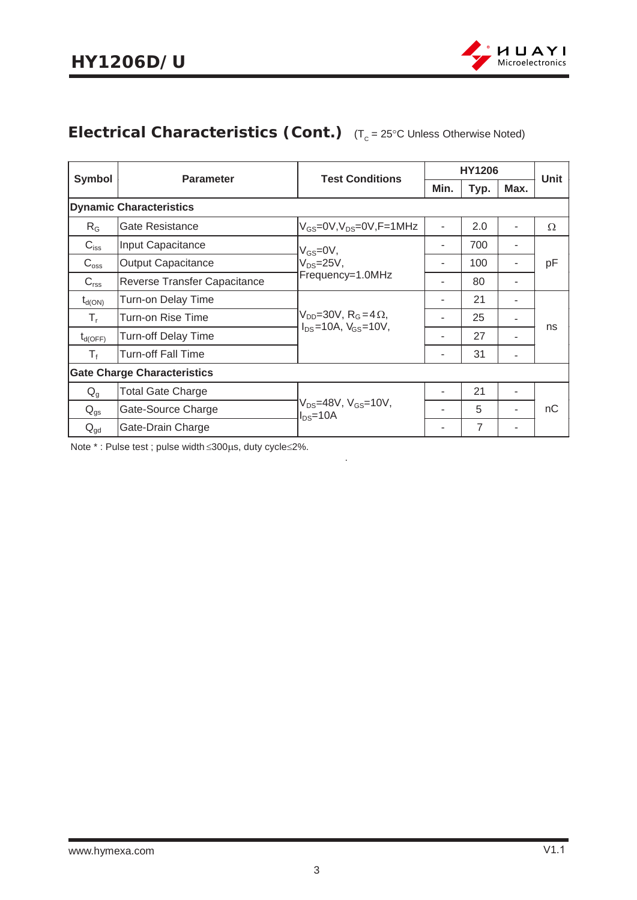

# **Electrical Characteristics (Cont.)** (T<sub>c</sub> = 25°C Unless Otherwise Noted)

| <b>Symbol</b>                      | <b>Parameter</b>               | <b>Test Conditions</b>                                                           |      | <b>HY1206</b> |      | Unit |
|------------------------------------|--------------------------------|----------------------------------------------------------------------------------|------|---------------|------|------|
|                                    |                                |                                                                                  | Min. | Typ.          | Max. |      |
|                                    | <b>Dynamic Characteristics</b> |                                                                                  |      |               |      |      |
| $R_G$                              | Gate Resistance                | $V_{GS}$ =0V, $V_{DS}$ =0V, $F$ =1MHz                                            |      | 2.0           |      | Ω    |
| $C_{iss}$                          | Input Capacitance              | $V_{GS}=$ 0V,                                                                    |      | 700           |      |      |
| $C_{\rm oss}$                      | <b>Output Capacitance</b>      | $V_{DS} = 25V$ ,                                                                 |      | 100           |      | pF   |
| $C_{\text{rss}}$                   | Reverse Transfer Capacitance   | Frequency=1.0MHz                                                                 |      | 80            |      |      |
| $t_{d(ON)}$                        | Turn-on Delay Time             | $V_{DD}$ =30V, R <sub>G</sub> =4 $\Omega$ ,<br>$I_{DS} = 10A$ , $V_{GS} = 10V$ , |      | 21            |      |      |
| $T_{r}$                            | Turn-on Rise Time              |                                                                                  |      | 25            |      | ns   |
| $t_{d(OFF)}$                       | Turn-off Delay Time            |                                                                                  |      | 27            |      |      |
| $T_{\rm f}$                        | Turn-off Fall Time             |                                                                                  |      | 31            |      |      |
| <b>Gate Charge Characteristics</b> |                                |                                                                                  |      |               |      |      |
| $Q_{q}$                            | <b>Total Gate Charge</b>       | V <sub>DS</sub> =48V, V <sub>GS</sub> =10V,<br>$I_{DS} = 10A$                    |      | 21            |      |      |
| $\mathsf{Q}_{\text{gs}}$           | Gate-Source Charge             |                                                                                  |      | 5             |      | nC   |
| $Q_{gd}$                           | Gate-Drain Charge              |                                                                                  |      | 7             |      |      |

.

Note \*: Pulse test ; pulse width  $\leq$ 300µs, duty cycle $\leq$ 2%.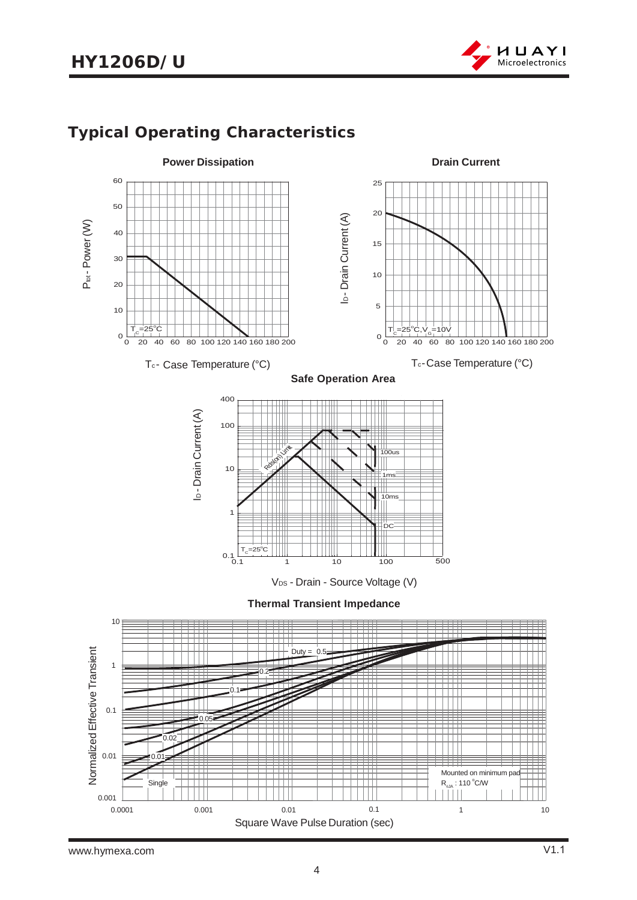# **HY1206D/U**



# **Typical Operating Characteristics**

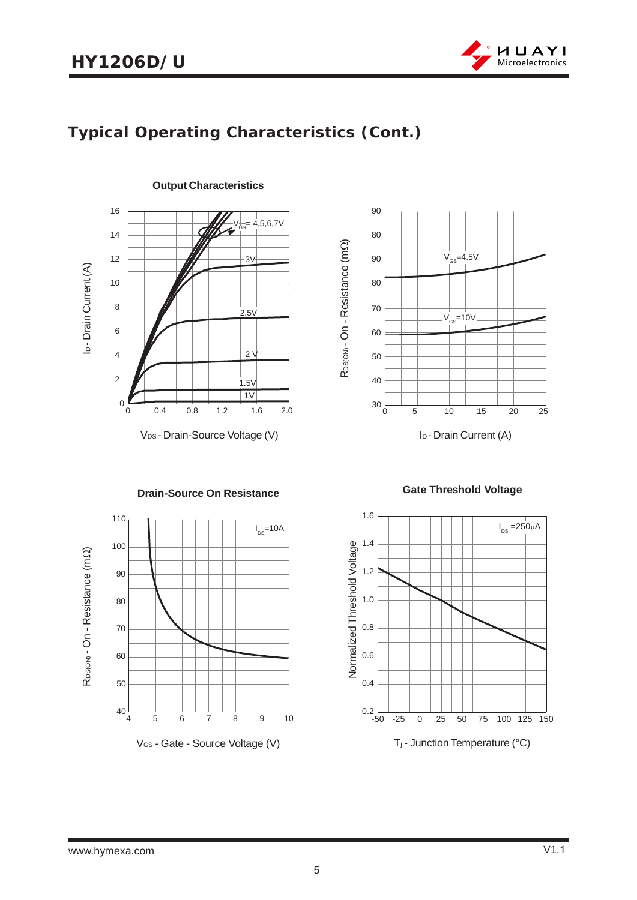

# **Typical Operating Characteristics (Cont.)**



I<sub>D</sub> - Drain Current (A) 60 50 R<sub>DS(ON)</sub> - On - Resistance (m R<sub>DS(ON)</sub> - On - Resistance (mΩ) 0 5 10 15 20 25  $30\frac{1}{0}$ 40 70 80 90  $V_{GS}$ =10V  $V_{GS}$ =4.5V 80 90

RDS(ON) - On - Resistance (m R<sub>DS(ON</sub> - On - Resistance (mΩ) 456 7 8 9 10  $40\frac{1}{4}$ 50 60 70 80 90 100 110  $I_{DS} = 10A$ 

**Drain-Source On Resistance**

V<sub>GS</sub> - Gate - Source Voltage (V)

 **Gate Threshold Voltage**

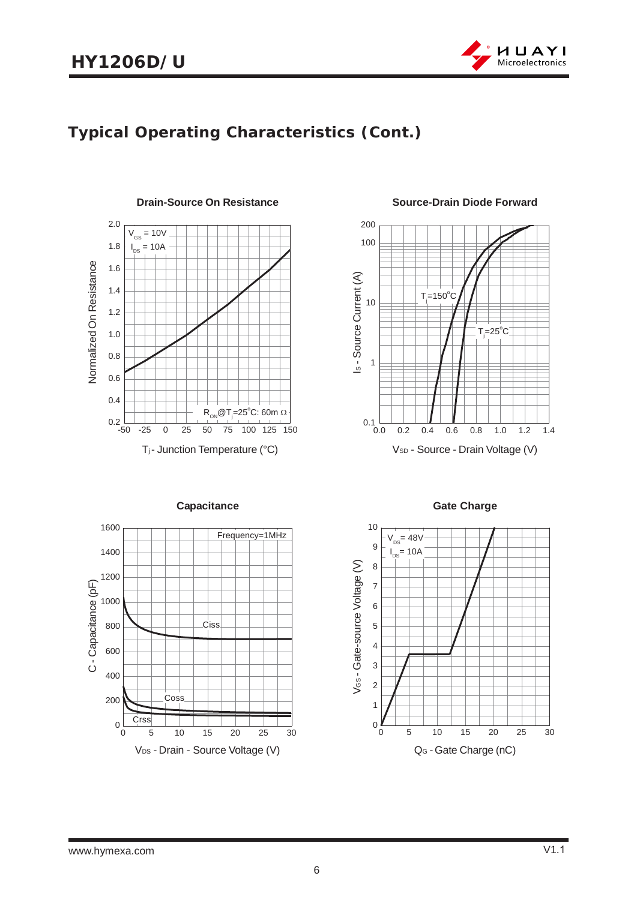

## **Typical Operating Characteristics (Cont.)**



**Source-Drain Diode Forward**





**Capacitance Gate Charge** 

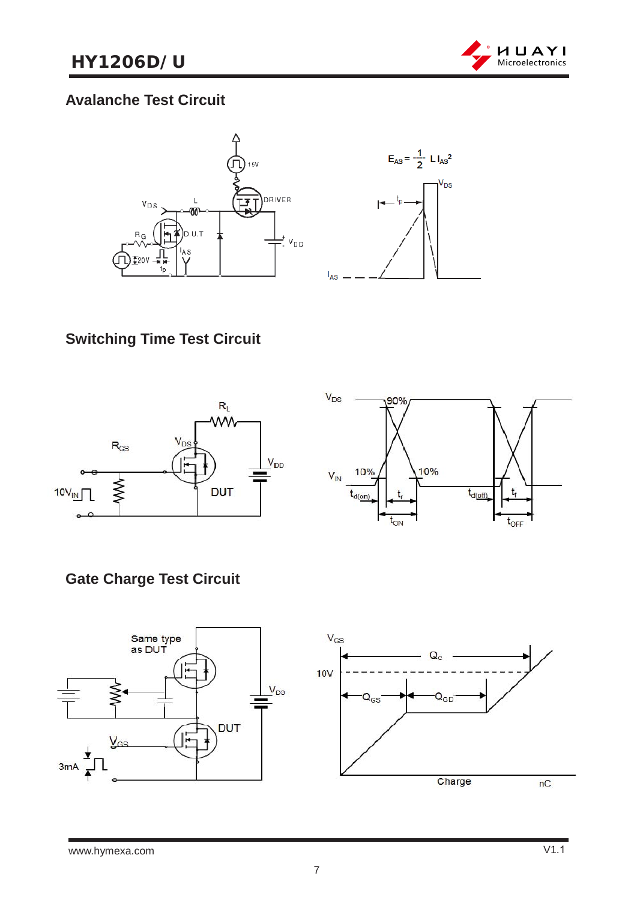

#### **Avalanche Test Circuit**





# **Switching Time Test Circuit**





## **Gate Charge Test Circuit**

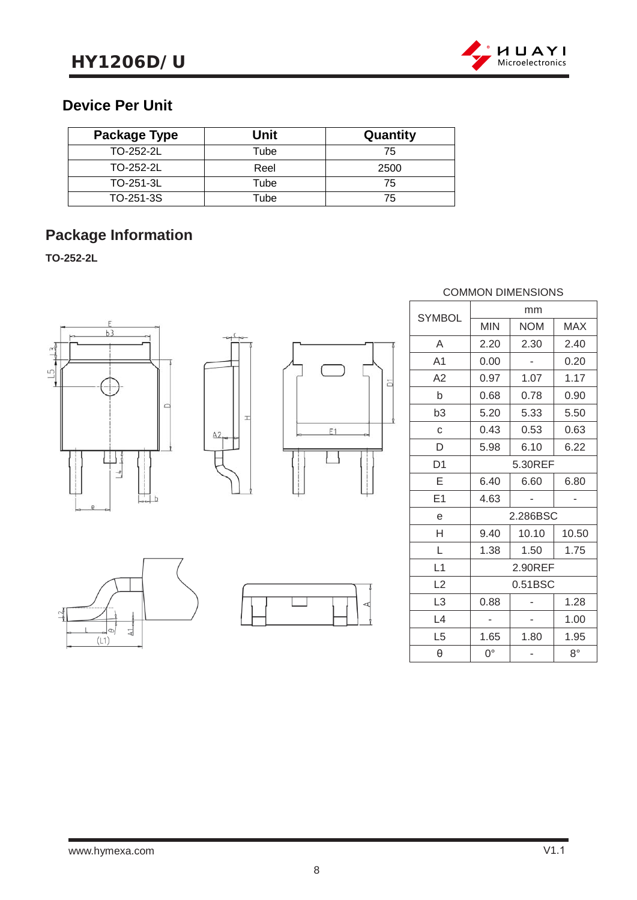

#### **Device Per Unit**

| Package Type | Unit | Quantity |
|--------------|------|----------|
| TO-252-2L    | Tube | 75       |
| TO-252-2L    | Reel | 2500     |
| TO-251-3L    | Tube | 75       |
| TO-251-3S    | Tube | 75       |

# **Package Information**

**TO-252-2L**







b<sub>1</sub>

#### COMMON DIMENSIONS

| <b>SYMBOL</b>  |            | mm         |             |
|----------------|------------|------------|-------------|
|                | <b>MIN</b> | <b>NOM</b> | <b>MAX</b>  |
| A              | 2.20       | 2.30       | 2.40        |
| A <sub>1</sub> | 0.00       |            | 0.20        |
| A2             | 0.97       | 1.07       | 1.17        |
| b              | 0.68       | 0.78       | 0.90        |
| b3             | 5.20       | 5.33       | 5.50        |
| C              | 0.43       | 0.53       | 0.63        |
| D              | 5.98       | 6.10       | 6.22        |
| D <sub>1</sub> | 5.30REF    |            |             |
| Е              | 6.40       | 6.60       | 6.80        |
| E <sub>1</sub> | 4.63       |            |             |
| e              |            | 2.286BSC   |             |
| Н              | 9.40       | 10.10      | 10.50       |
| L              | 1.38       | 1.50       | 1.75        |
| L1             |            | 2.90REF    |             |
| L2             | 0.51BSC    |            |             |
| L <sub>3</sub> | 0.88       |            | 1.28        |
| L4             |            |            | 1.00        |
| L <sub>5</sub> | 1.65       | 1.80       | 1.95        |
| θ              | 0°         |            | $8^{\circ}$ |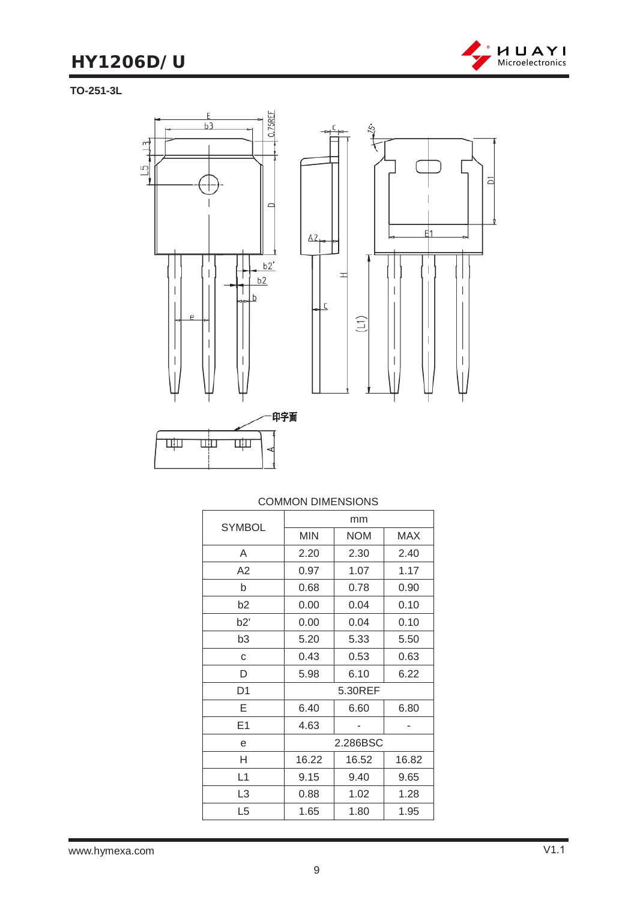# **HY1206D/U**



**TO-251-3L**



|                | mm         |            |            |
|----------------|------------|------------|------------|
| <b>SYMBOL</b>  | <b>MIN</b> | <b>NOM</b> | <b>MAX</b> |
| A              | 2.20       | 2.30       | 2.40       |
| A2             | 0.97       | 1.07       | 1.17       |
| b              | 0.68       | 0.78       | 0.90       |
| b2             | 0.00       | 0.04       | 0.10       |
| b2'            | 0.00       | 0.04       | 0.10       |
| b3             | 5.20       | 5.33       | 5.50       |
| C              | 0.43       | 0.53       | 0.63       |
| D              | 5.98       | 6.10       | 6.22       |
| D <sub>1</sub> | 5.30REF    |            |            |
| Е              | 6.40       | 6.60       | 6.80       |
| E1             | 4.63       |            |            |
| e              | 2.286BSC   |            |            |
| H              | 16.22      | 16.52      | 16.82      |
| L1             | 9.15       | 9.40       | 9.65       |
| L3             | 0.88       | 1.02       | 1.28       |
| L <sub>5</sub> | 1.65       | 1.80       | 1.95       |

#### COMMON DIMENSIONS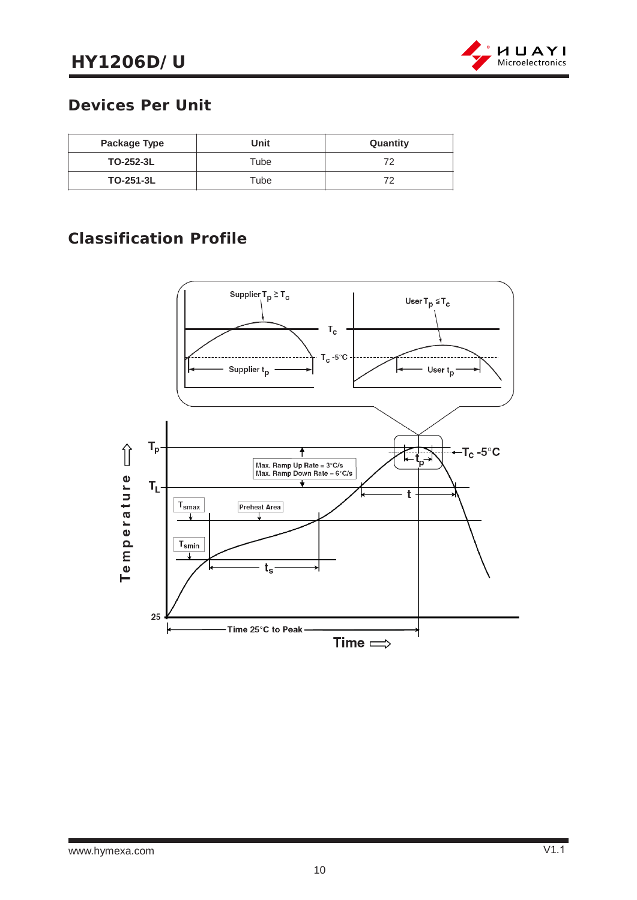

#### **Devices Per Unit**

| Package Type     | Unit | Quantity |
|------------------|------|----------|
| TO-252-3L        | Tube | 70       |
| <b>TO-251-3L</b> | Tube | 70       |

## **Classification Profile**